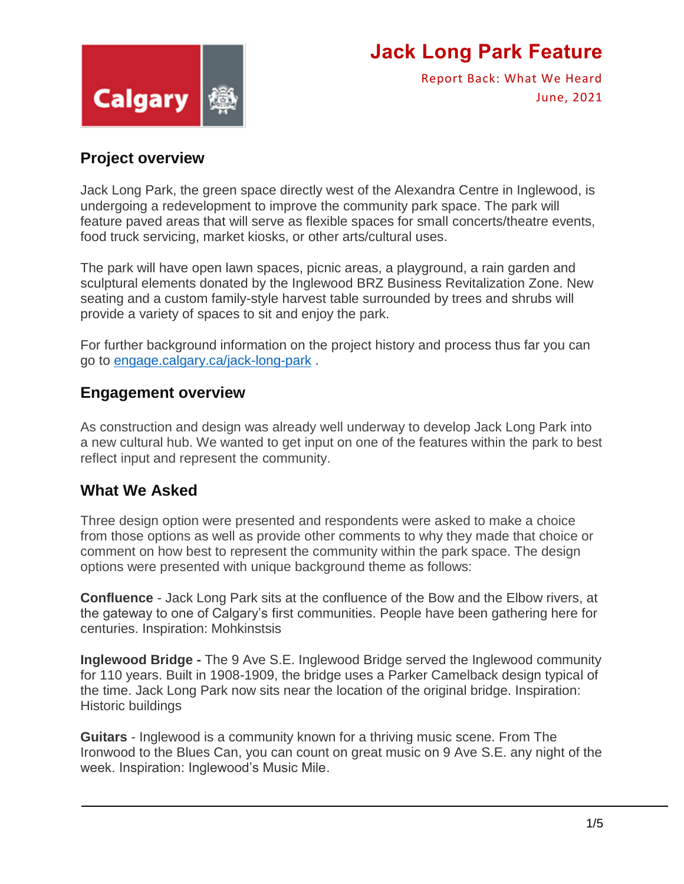

Report Back: What We Heard June, 2021

### **Project overview**

Jack Long Park, the green space directly west of the Alexandra Centre in Inglewood, is undergoing a redevelopment to improve the community park space. The park will feature paved areas that will serve as flexible spaces for small concerts/theatre events, food truck servicing, market kiosks, or other arts/cultural uses.

The park will have open lawn spaces, picnic areas, a playground, a rain garden and sculptural elements donated by the Inglewood BRZ Business Revitalization Zone. New seating and a custom family-style harvest table surrounded by trees and shrubs will provide a variety of spaces to sit and enjoy the park.

For further background information on the project history and process thus far you can go to [engage.calgary.ca/jack-long-park](https://engage.calgary.ca/jack-long-park) .

#### **Engagement overview**

As construction and design was already well underway to develop Jack Long Park into a new cultural hub. We wanted to get input on one of the features within the park to best reflect input and represent the community.

### **What We Asked**

Three design option were presented and respondents were asked to make a choice from those options as well as provide other comments to why they made that choice or comment on how best to represent the community within the park space. The design options were presented with unique background theme as follows:

**Confluence** - Jack Long Park sits at the confluence of the Bow and the Elbow rivers, at the gateway to one of Calgary's first communities. People have been gathering here for centuries. Inspiration: Mohkinstsis

**Inglewood Bridge -** The 9 Ave S.E. Inglewood Bridge served the Inglewood community for 110 years. Built in 1908-1909, the bridge uses a Parker Camelback design typical of the time. Jack Long Park now sits near the location of the original bridge. Inspiration: Historic buildings

**Guitars** - Inglewood is a community known for a thriving music scene. From The Ironwood to the Blues Can, you can count on great music on 9 Ave S.E. any night of the week. Inspiration: Inglewood's Music Mile.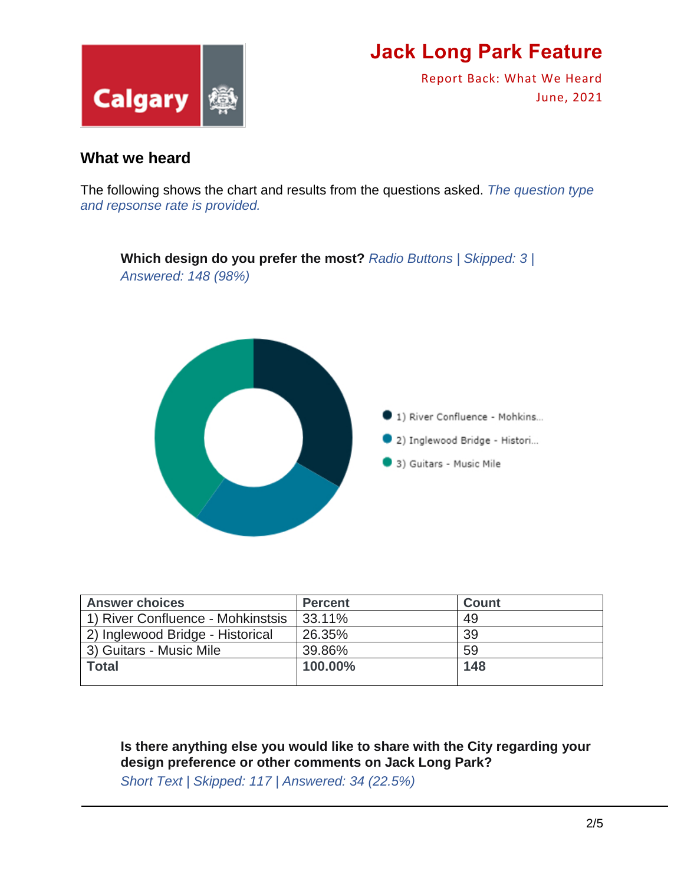

Report Back: What We Heard June, 2021

#### **What we heard**

The following shows the chart and results from the questions asked. *The question type and repsonse rate is provided.* 



| <b>Answer choices</b>             | <b>Percent</b> | <b>Count</b> |
|-----------------------------------|----------------|--------------|
| 1) River Confluence - Mohkinstsis | 33.11%         | 49           |
| 2) Inglewood Bridge - Historical  | 26.35%         | 39           |
| 3) Guitars - Music Mile           | 39.86%         | 59           |
| <b>Total</b>                      | 100.00%        | 148          |
|                                   |                |              |

**Is there anything else you would like to share with the City regarding your design preference or other comments on Jack Long Park?**

*Short Text | Skipped: 117 | Answered: 34 (22.5%)*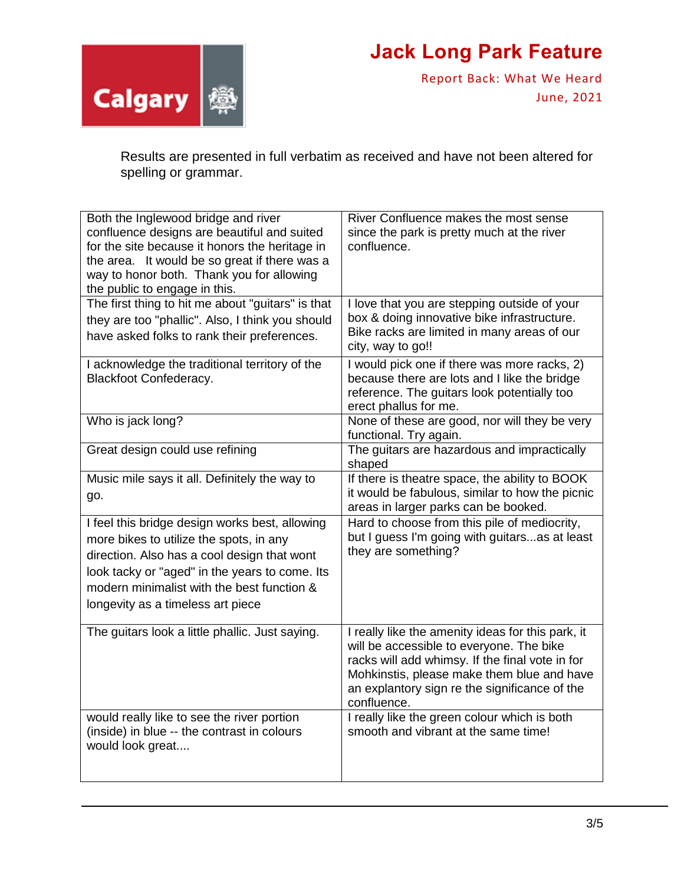

Report Back: What We Heard June, 2021

Results are presented in full verbatim as received and have not been altered for spelling or grammar.

| Both the Inglewood bridge and river<br>confluence designs are beautiful and suited<br>for the site because it honors the heritage in<br>the area. It would be so great if there was a<br>way to honor both. Thank you for allowing<br>the public to engage in this.           | River Confluence makes the most sense<br>since the park is pretty much at the river<br>confluence.                                                                                                                                                             |
|-------------------------------------------------------------------------------------------------------------------------------------------------------------------------------------------------------------------------------------------------------------------------------|----------------------------------------------------------------------------------------------------------------------------------------------------------------------------------------------------------------------------------------------------------------|
| The first thing to hit me about "guitars" is that<br>they are too "phallic". Also, I think you should<br>have asked folks to rank their preferences.                                                                                                                          | I love that you are stepping outside of your<br>box & doing innovative bike infrastructure.<br>Bike racks are limited in many areas of our<br>city, way to go!!                                                                                                |
| I acknowledge the traditional territory of the<br><b>Blackfoot Confederacy.</b>                                                                                                                                                                                               | I would pick one if there was more racks, 2)<br>because there are lots and I like the bridge<br>reference. The guitars look potentially too<br>erect phallus for me.                                                                                           |
| Who is jack long?                                                                                                                                                                                                                                                             | None of these are good, nor will they be very<br>functional. Try again.                                                                                                                                                                                        |
| Great design could use refining                                                                                                                                                                                                                                               | The guitars are hazardous and impractically<br>shaped                                                                                                                                                                                                          |
| Music mile says it all. Definitely the way to<br>go.                                                                                                                                                                                                                          | If there is theatre space, the ability to BOOK<br>it would be fabulous, similar to how the picnic<br>areas in larger parks can be booked.                                                                                                                      |
| I feel this bridge design works best, allowing<br>more bikes to utilize the spots, in any<br>direction. Also has a cool design that wont<br>look tacky or "aged" in the years to come. Its<br>modern minimalist with the best function &<br>longevity as a timeless art piece | Hard to choose from this pile of mediocrity,<br>but I guess I'm going with guitars as at least<br>they are something?                                                                                                                                          |
| The guitars look a little phallic. Just saying.                                                                                                                                                                                                                               | I really like the amenity ideas for this park, it<br>will be accessible to everyone. The bike<br>racks will add whimsy. If the final vote in for<br>Mohkinstis, please make them blue and have<br>an explantory sign re the significance of the<br>confluence. |
| would really like to see the river portion<br>(inside) in blue -- the contrast in colours<br>would look great                                                                                                                                                                 | I really like the green colour which is both<br>smooth and vibrant at the same time!                                                                                                                                                                           |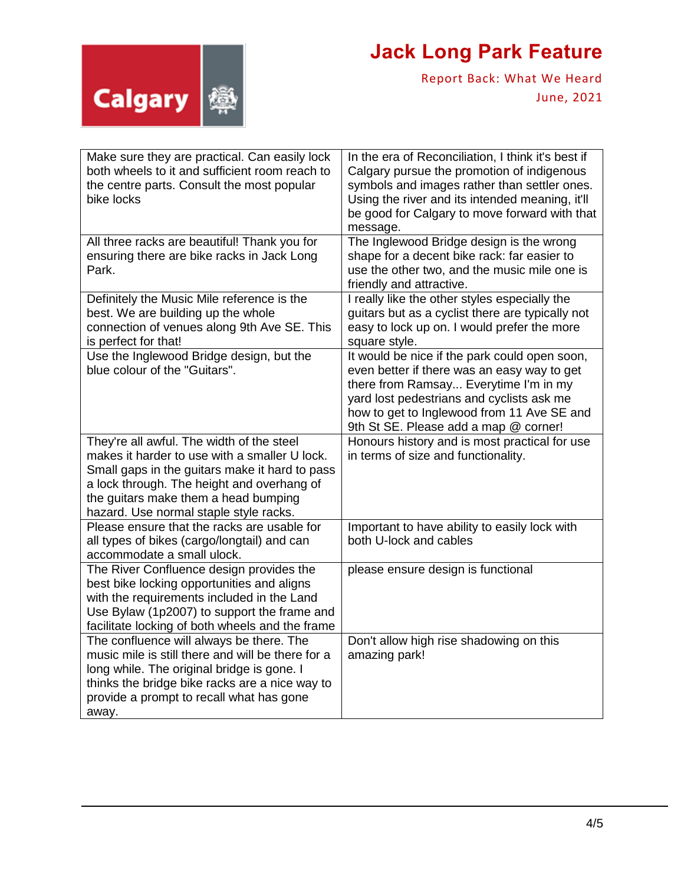

Report Back: What We Heard June, 2021

| Make sure they are practical. Can easily lock<br>both wheels to it and sufficient room reach to<br>the centre parts. Consult the most popular<br>bike locks                                                                                                                  | In the era of Reconciliation, I think it's best if<br>Calgary pursue the promotion of indigenous<br>symbols and images rather than settler ones.<br>Using the river and its intended meaning, it'll<br>be good for Calgary to move forward with that<br>message.          |
|------------------------------------------------------------------------------------------------------------------------------------------------------------------------------------------------------------------------------------------------------------------------------|---------------------------------------------------------------------------------------------------------------------------------------------------------------------------------------------------------------------------------------------------------------------------|
| All three racks are beautiful! Thank you for<br>ensuring there are bike racks in Jack Long<br>Park.                                                                                                                                                                          | The Inglewood Bridge design is the wrong<br>shape for a decent bike rack: far easier to<br>use the other two, and the music mile one is<br>friendly and attractive.                                                                                                       |
| Definitely the Music Mile reference is the<br>best. We are building up the whole<br>connection of venues along 9th Ave SE. This<br>is perfect for that!                                                                                                                      | I really like the other styles especially the<br>guitars but as a cyclist there are typically not<br>easy to lock up on. I would prefer the more<br>square style.                                                                                                         |
| Use the Inglewood Bridge design, but the<br>blue colour of the "Guitars".                                                                                                                                                                                                    | It would be nice if the park could open soon,<br>even better if there was an easy way to get<br>there from Ramsay Everytime I'm in my<br>yard lost pedestrians and cyclists ask me<br>how to get to Inglewood from 11 Ave SE and<br>9th St SE. Please add a map @ corner! |
| They're all awful. The width of the steel<br>makes it harder to use with a smaller U lock.<br>Small gaps in the guitars make it hard to pass<br>a lock through. The height and overhang of<br>the guitars make them a head bumping<br>hazard. Use normal staple style racks. | Honours history and is most practical for use<br>in terms of size and functionality.                                                                                                                                                                                      |
| Please ensure that the racks are usable for<br>all types of bikes (cargo/longtail) and can<br>accommodate a small ulock.                                                                                                                                                     | Important to have ability to easily lock with<br>both U-lock and cables                                                                                                                                                                                                   |
| The River Confluence design provides the<br>best bike locking opportunities and aligns<br>with the requirements included in the Land<br>Use Bylaw (1p2007) to support the frame and<br>facilitate locking of both wheels and the frame                                       | please ensure design is functional                                                                                                                                                                                                                                        |
| The confluence will always be there. The<br>music mile is still there and will be there for a<br>long while. The original bridge is gone. I<br>thinks the bridge bike racks are a nice way to<br>provide a prompt to recall what has gone<br>away.                           | Don't allow high rise shadowing on this<br>amazing park!                                                                                                                                                                                                                  |